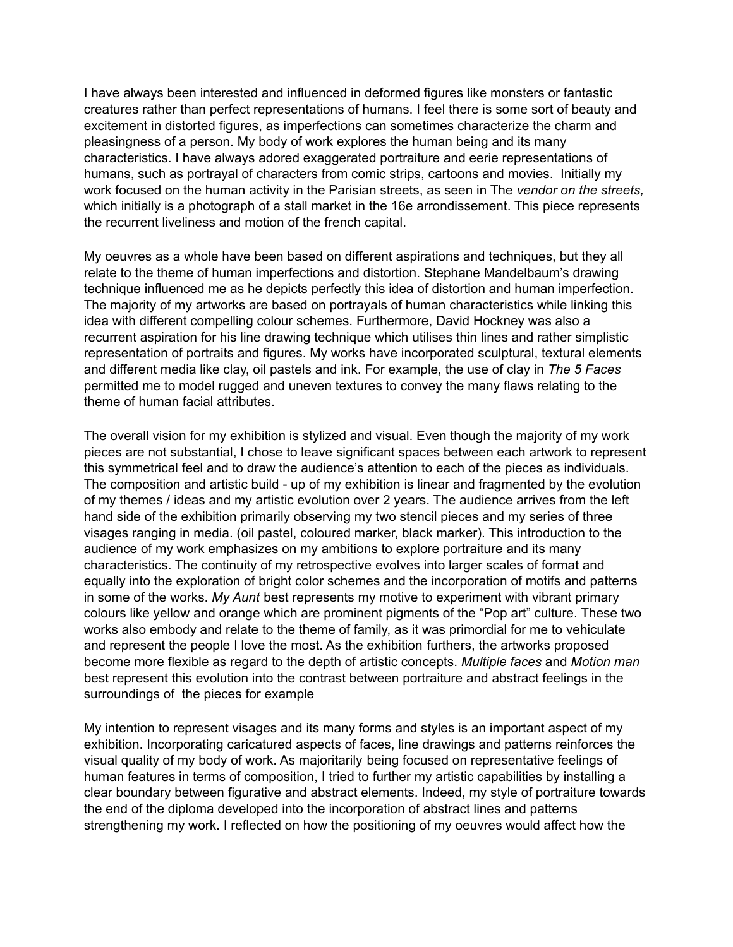I have always been interested and influenced in deformed figures like monsters or fantastic creatures rather than perfect representations of humans. I feel there is some sort of beauty and excitement in distorted figures, as imperfections can sometimes characterize the charm and pleasingness of a person. My body of work explores the human being and its many characteristics. I have always adored exaggerated portraiture and eerie representations of humans, such as portrayal of characters from comic strips, cartoons and movies. Initially my work focused on the human activity in the Parisian streets, as seen in The *vendor on the streets,* which initially is a photograph of a stall market in the 16e arrondissement. This piece represents the recurrent liveliness and motion of the french capital.

My oeuvres as a whole have been based on different aspirations and techniques, but they all relate to the theme of human imperfections and distortion. Stephane Mandelbaum's drawing technique influenced me as he depicts perfectly this idea of distortion and human imperfection. The majority of my artworks are based on portrayals of human characteristics while linking this idea with different compelling colour schemes. Furthermore, David Hockney was also a recurrent aspiration for his line drawing technique which utilises thin lines and rather simplistic representation of portraits and figures. My works have incorporated sculptural, textural elements and different media like clay, oil pastels and ink. For example, the use of clay in *The 5 Faces* permitted me to model rugged and uneven textures to convey the many flaws relating to the theme of human facial attributes.

The overall vision for my exhibition is stylized and visual. Even though the majority of my work pieces are not substantial, I chose to leave significant spaces between each artwork to represent this symmetrical feel and to draw the audience's attention to each of the pieces as individuals. The composition and artistic build - up of my exhibition is linear and fragmented by the evolution of my themes / ideas and my artistic evolution over 2 years. The audience arrives from the left hand side of the exhibition primarily observing my two stencil pieces and my series of three visages ranging in media. (oil pastel, coloured marker, black marker). This introduction to the audience of my work emphasizes on my ambitions to explore portraiture and its many characteristics. The continuity of my retrospective evolves into larger scales of format and equally into the exploration of bright color schemes and the incorporation of motifs and patterns in some of the works. *My Aunt* best represents my motive to experiment with vibrant primary colours like yellow and orange which are prominent pigments of the "Pop art" culture. These two works also embody and relate to the theme of family, as it was primordial for me to vehiculate and represent the people I love the most. As the exhibition furthers, the artworks proposed become more flexible as regard to the depth of artistic concepts. *Multiple faces* and *Motion man* best represent this evolution into the contrast between portraiture and abstract feelings in the surroundings of the pieces for example

My intention to represent visages and its many forms and styles is an important aspect of my exhibition. Incorporating caricatured aspects of faces, line drawings and patterns reinforces the visual quality of my body of work. As majoritarily being focused on representative feelings of human features in terms of composition, I tried to further my artistic capabilities by installing a clear boundary between figurative and abstract elements. Indeed, my style of portraiture towards the end of the diploma developed into the incorporation of abstract lines and patterns strengthening my work. I reflected on how the positioning of my oeuvres would affect how the